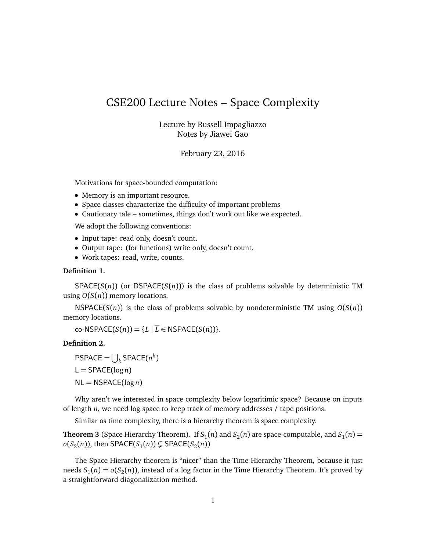# CSE200 Lecture Notes – Space Complexity

Lecture by Russell Impagliazzo Notes by Jiawei Gao

February 23, 2016

Motivations for space-bounded computation:

- Memory is an important resource.
- Space classes characterize the difficulty of important problems
- Cautionary tale sometimes, things don't work out like we expected.

We adopt the following conventions:

- Input tape: read only, doesn't count.
- Output tape: (for functions) write only, doesn't count.
- Work tapes: read, write, counts.

### **Definition 1.**

 $SPACE(S(n))$  (or  $DSPACE(S(n))$ ) is the class of problems solvable by deterministic TM using  $O(S(n))$  memory locations.

NSPACE(*S*(*n*)) is the class of problems solvable by nondeterministic TM using *O*(*S*(*n*)) memory locations.

 $\text{co-NSPACE}(S(n)) = \{L \mid \overline{L} \in \text{NSPACE}(S(n))\}.$ 

### **Definition 2.**

 $\mathsf{PSPACE} = \bigcup_k \mathsf{SPACE}(n^k)$  $L = SPACE(log n)$  $NL = NSPACE(log n)$ 

Why aren't we interested in space complexity below logaritimic space? Because on inputs of length *n*, we need log space to keep track of memory addresses / tape positions.

Similar as time complexity, there is a hierarchy theorem is space complexity.

**Theorem 3** (Space Hierarchy Theorem). If  $S_1(n)$  and  $S_2(n)$  are space-computable, and  $S_1(n)$  =  $o(S_2(n))$ , then  $\mathsf{SPACE}(S_1(n)) \subsetneq \mathsf{SPACE}(S_2(n))$ 

The Space Hierarchy theorem is "nicer" than the Time Hierarchy Theorem, because it just needs *S*<sup>1</sup> (*n*) = *o*(*S*<sup>2</sup> (*n*)), instead of a log factor in the Time Hierarchy Theorem. It's proved by a straightforward diagonalization method.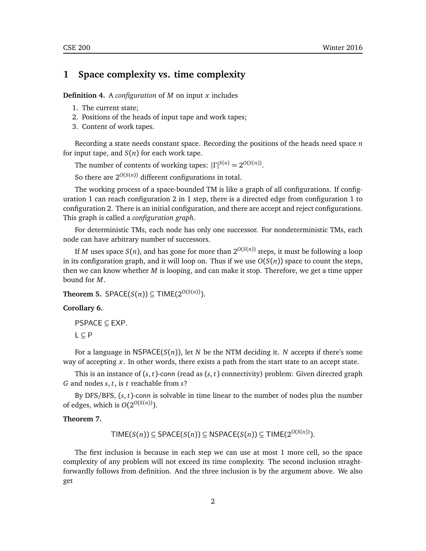# **1 Space complexity vs. time complexity**

**Definition 4.** A *configuration* of *M* on input *x* includes

- 1. The current state;
- 2. Positions of the heads of input tape and work tapes;
- 3. Content of work tapes.

Recording a state needs constant space. Recording the positions of the heads need space *n* for input tape, and  $S(n)$  for each work tape.

The number of contents of working tapes:  $|\Gamma|^{S(n)} = 2^{O(S(n))}$ .

So there are  $2^{O(S(n))}$  different configurations in total.

The working process of a space-bounded TM is like a graph of all configurations. If configuration 1 can reach configuration 2 in 1 step, there is a directed edge from configuration 1 to configuration 2. There is an initial configuration, and there are accept and reject configurations. This graph is called a *configuration graph*.

For deterministic TMs, each node has only one successor. For nondeterministic TMs, each node can have arbitrary number of successors.

If *M* uses space *S*(*n*), and has gone for more than  $2^{O(S(n))}$  steps, it must be following a loop in its configuration graph, and it will loop on. Thus if we use  $O(S(n))$  space to count the steps, then we can know whether *M* is looping, and can make it stop. Therefore, we get a time upper bound for *M*.

**Theorem 5.** SPACE( $S(n)$ )  $\subseteq$  TIME( $2^{O(S(n))}$ ).

#### **Corollary 6.**

PSPACE ⊆ EXP.

L ⊆ P

For a language in NSPACE(*S*(*n*)), let *N* be the NTM deciding it. *N* accepts if there's some way of accepting *x*. In other words, there exists a path from the start state to an accept state.

This is an instance of  $(s, t)$ -conn (read as  $(s, t)$  connectivity) problem: Given directed graph *G* and nodes *s*, *t*, is *t* reachable from *s*?

By DFS/BFS, (*s*, *t*)-conn is solvable in time linear to the number of nodes plus the number of edges, which is  $O(2^{O(S(n))})$ .

**Theorem 7.**

$$
\mathsf{TIME}(S(n)) \subseteq \mathsf{SPACE}(S(n)) \subseteq \mathsf{NSPACE}(S(n)) \subseteq \mathsf{TIME}(2^{O(S(n))}).
$$

The first inclusion is because in each step we can use at most 1 more cell, so the space complexity of any problem will not exceed its time complexity. The second inclusion straghtforwardly follows from definition. And the three inclusion is by the argument above. We also get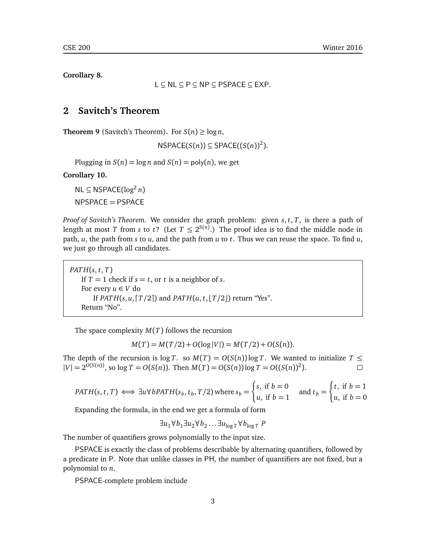**Corollary 8.**

L ⊆ NL ⊆ P ⊆ NP ⊆ PSPACE ⊆ EXP.

## **2 Savitch's Theorem**

**Theorem 9** (Savitch's Theorem). For  $S(n) \ge \log n$ ,

 $NSPACE(S(n)) \subseteq SPACE((S(n))^2)$ .

Plugging in  $S(n) = \log n$  and  $S(n) = \text{poly}(n)$ , we get

**Corollary 10.**

NL ⊆ NSPACE( $log<sup>2</sup> n$ )  $NPSPACE = PSPACE$ 

*Proof of Savitch's Theorem.* We consider the graph problem: given *s*, *t*, *T*, is there a path of length at most *T* from *s* to *t*? (Let  $T \leq 2^{S(n)}$ .) The proof idea is to find the middle node in path, *u*, the path from *s* to *u*, and the path from *u* to *t*. Thus we can reuse the space. To find *u*, we just go through all candidates.

*PAT H*(*s*, *t*, *T*) If  $T = 1$  check if  $s = t$ , or  $t$  is a neighbor of  $s$ . For every  $u \in V$  do If *PATH*( $s, u$ ,  $T/2$ ) and *PATH*( $u, t$ ,  $T/2$ ) return "Yes". Return "No".

The space complexity *M*(*T*) follows the recursion

 $M(T) = M(T/2) + O(log |V|) = M(T/2) + O(S(n)).$ 

The depth of the recursion is  $\log T$ . so  $M(T) = O(S(n))\log T$ . We wanted to initialize  $T \leq$  $|V| = 2^{O(S(n))}$ , so  $\log T = O(S(n))$ . Then  $M(T) = O(S(n)) \log T = O((S(n))^2)$ .  $\Box$ 

$$
PATH(s, t, T) \iff \exists u \forall bPATH(s_b, t_b, T/2) \text{ where } s_b = \begin{cases} s, \text{ if } b = 0 \\ u, \text{ if } b = 1 \end{cases} \text{ and } t_b = \begin{cases} t, \text{ if } b = 1 \\ u, \text{ if } b = 0 \end{cases}
$$

Expanding the formula, in the end we get a formula of form

$$
\exists u_1 \forall b_1 \exists u_2 \forall b_2 \dots \exists u_{\log T} \forall b_{\log T} \; P
$$

The number of quantifiers grows polynomially to the input size.

PSPACE is exactly the class of problems describable by alternating quantifiers, followed by a predicate in P. Note that unlike classes in PH, the number of quantifiers are not fixed, but a polynomial to *n*.

PSPACE-complete problem include